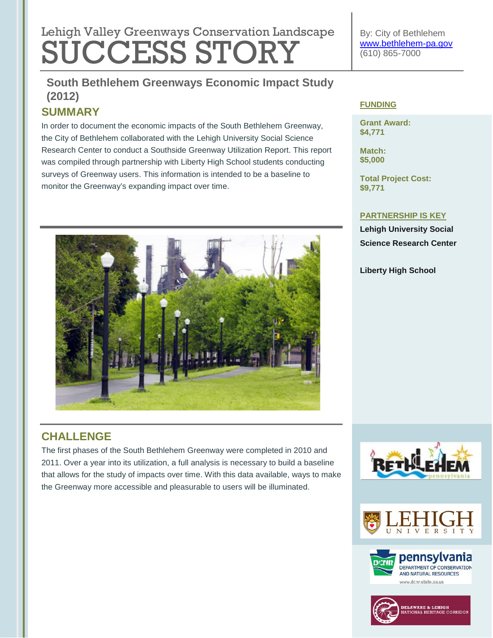# **Lebish Velley Que environmental regulation Lengtheres** Lehigh Valley Greenways Conservation Landscape SUCCESS STORY

By: City of Bethlehem [www.bethlehem-pa.gov](http://www.bethlehem-pa.gov/) (610) 865-7000

## **South Bethlehem Greenways Economic Impact Study Tree Revitalization (2011) (2012)**

## **SUMMARY**

In order to document the economic impacts of the South Bethlehem Greenway, the City of Bethlehem collaborated with the Lehigh University Social Science Research Center to conduct a Southside Greenway Utilization Report. This report was compiled through partnership with Liberty High School students conducting surveys of Greenway users. This information is intended to be a baseline to monitor the Greenway's expanding impact over time.



## **CHALLENGE**

The first phases of the South Bethlehem Greenway were completed in 2010 and 2011. Over a year into its utilization, a full analysis is necessary to build a baseline that allows for the study of impacts over time. With this data available, ways to make the Greenway more accessible and pleasurable to users will be illuminated.

#### **FUNDING**

**Grant Award: \$4,771**

**Match: \$5,000**

**Total Project Cost: \$9,771**

#### **PARTNERSHIP IS KEY**

**Lehigh University Social Science Research Center**

**Liberty High School**